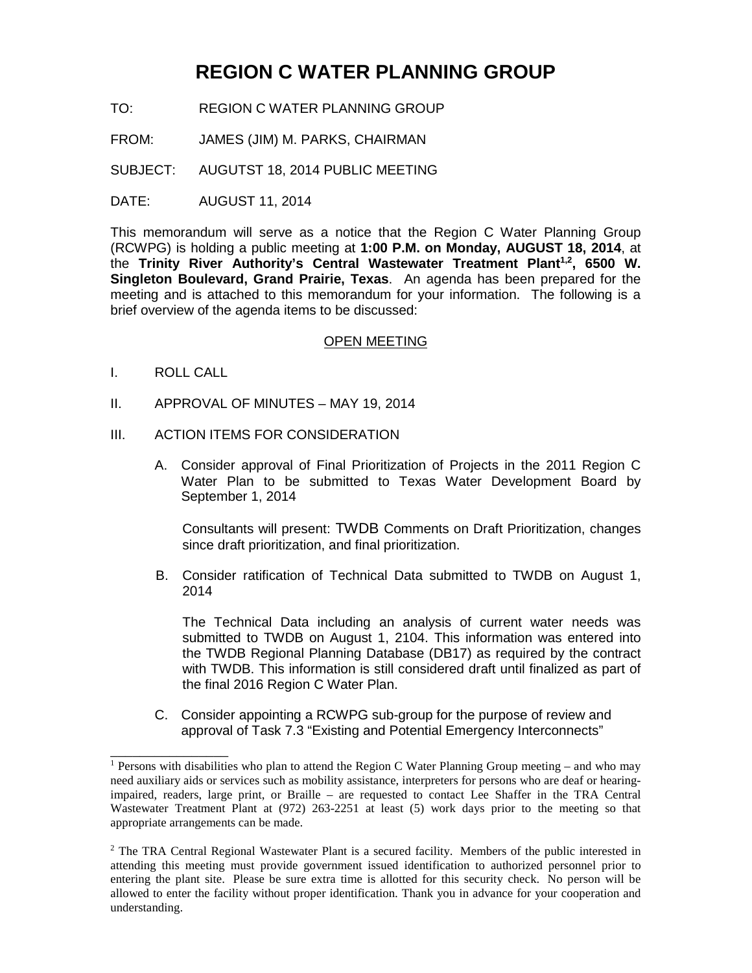## **REGION C WATER PLANNING GROUP**

- TO: REGION C WATER PLANNING GROUP
- FROM: JAMES (JIM) M. PARKS, CHAIRMAN
- SUBJECT: AUGUTST 18, 2014 PUBLIC MEETING
- DATE: AUGUST 11, 2014

This memorandum will serve as a notice that the Region C Water Planning Group (RCWPG) is holding a public meeting at **1:00 P.M. on Monday, AUGUST 18, 2014**, at the Trinity River Authority's Central Wastewater Treatment Plant<sup>1,2</sup>, 6500 W. **Singleton Boulevard, Grand Prairie, Texas**. An agenda has been prepared for the meeting and is attached to this memorandum for your information. The following is a brief overview of the agenda items to be discussed:

## OPEN MEETING

I. ROLL CALL

\_\_\_\_\_\_\_\_\_\_\_\_\_\_\_\_

- II. APPROVAL OF MINUTES MAY 19, 2014
- III. ACTION ITEMS FOR CONSIDERATION
	- A. Consider approval of Final Prioritization of Projects in the 2011 Region C Water Plan to be submitted to Texas Water Development Board by September 1, 2014

Consultants will present: TWDB Comments on Draft Prioritization, changes since draft prioritization, and final prioritization.

B. Consider ratification of Technical Data submitted to TWDB on August 1, 2014

The Technical Data including an analysis of current water needs was submitted to TWDB on August 1, 2104. This information was entered into the TWDB Regional Planning Database (DB17) as required by the contract with TWDB. This information is still considered draft until finalized as part of the final 2016 Region C Water Plan.

C. Consider appointing a RCWPG sub-group for the purpose of review and approval of Task 7.3 "Existing and Potential Emergency Interconnects"

<sup>&</sup>lt;sup>1</sup> Persons with disabilities who plan to attend the Region C Water Planning Group meeting – and who may need auxiliary aids or services such as mobility assistance, interpreters for persons who are deaf or hearingimpaired, readers, large print, or Braille – are requested to contact Lee Shaffer in the TRA Central Wastewater Treatment Plant at (972) 263-2251 at least (5) work days prior to the meeting so that appropriate arrangements can be made.

<sup>&</sup>lt;sup>2</sup> The TRA Central Regional Wastewater Plant is a secured facility. Members of the public interested in attending this meeting must provide government issued identification to authorized personnel prior to entering the plant site. Please be sure extra time is allotted for this security check. No person will be allowed to enter the facility without proper identification. Thank you in advance for your cooperation and understanding.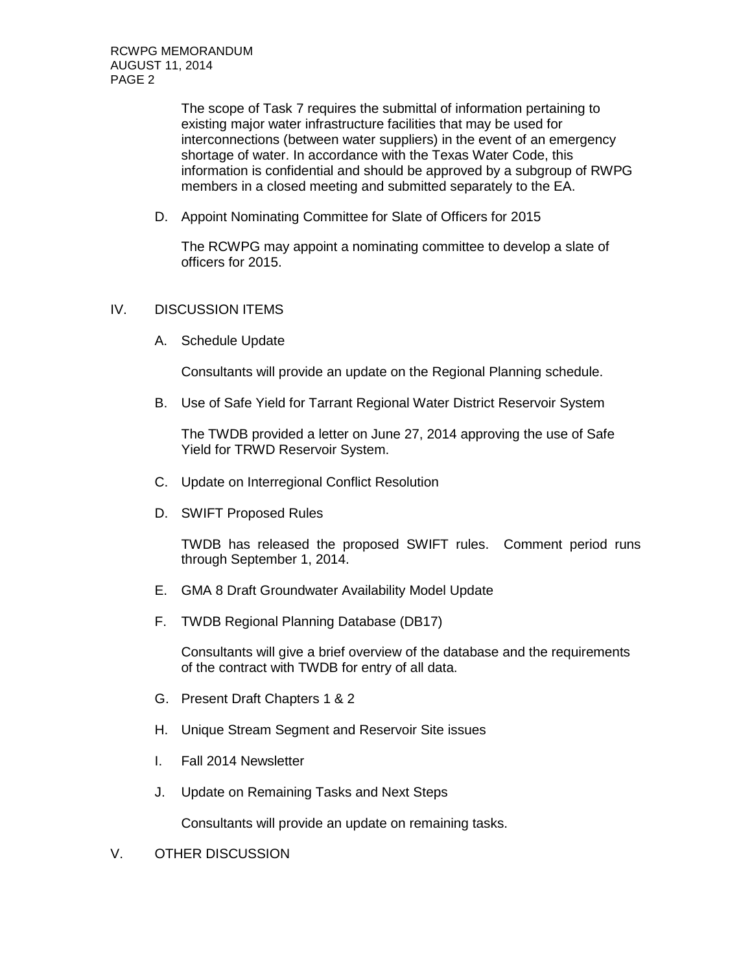The scope of Task 7 requires the submittal of information pertaining to existing major water infrastructure facilities that may be used for interconnections (between water suppliers) in the event of an emergency shortage of water. In accordance with the Texas Water Code, this information is confidential and should be approved by a subgroup of RWPG members in a closed meeting and submitted separately to the EA.

D. Appoint Nominating Committee for Slate of Officers for 2015

The RCWPG may appoint a nominating committee to develop a slate of officers for 2015.

## IV. DISCUSSION ITEMS

A. Schedule Update

Consultants will provide an update on the Regional Planning schedule.

B. Use of Safe Yield for Tarrant Regional Water District Reservoir System

The TWDB provided a letter on June 27, 2014 approving the use of Safe Yield for TRWD Reservoir System.

- C. Update on Interregional Conflict Resolution
- D. SWIFT Proposed Rules

TWDB has released the proposed SWIFT rules. Comment period runs through September 1, 2014.

- E. GMA 8 Draft Groundwater Availability Model Update
- F. TWDB Regional Planning Database (DB17)

Consultants will give a brief overview of the database and the requirements of the contract with TWDB for entry of all data.

- G. Present Draft Chapters 1 & 2
- H. Unique Stream Segment and Reservoir Site issues
- I. Fall 2014 Newsletter
- J. Update on Remaining Tasks and Next Steps

Consultants will provide an update on remaining tasks.

V. OTHER DISCUSSION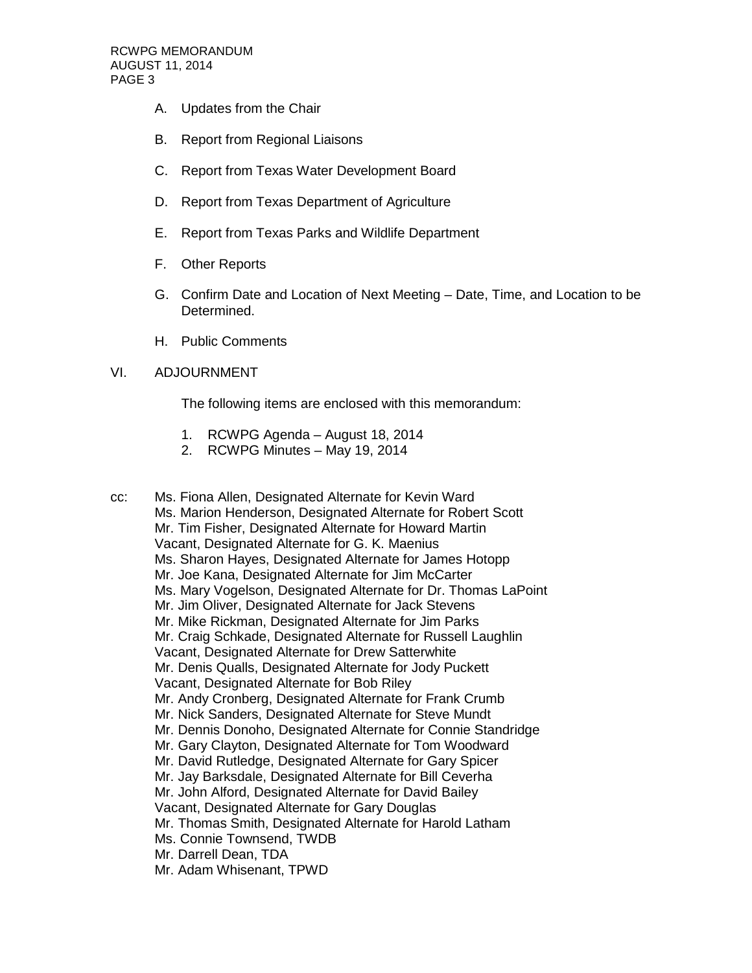- A. Updates from the Chair
- B. Report from Regional Liaisons
- C. Report from Texas Water Development Board
- D. Report from Texas Department of Agriculture
- E. Report from Texas Parks and Wildlife Department
- F. Other Reports
- G. Confirm Date and Location of Next Meeting Date, Time, and Location to be Determined.
- H. Public Comments

## VI. ADJOURNMENT

The following items are enclosed with this memorandum:

- 1. RCWPG Agenda August 18, 2014
- 2. RCWPG Minutes May 19, 2014

cc: Ms. Fiona Allen, Designated Alternate for Kevin Ward Ms. Marion Henderson, Designated Alternate for Robert Scott Mr. Tim Fisher, Designated Alternate for Howard Martin Vacant, Designated Alternate for G. K. Maenius Ms. Sharon Hayes, Designated Alternate for James Hotopp Mr. Joe Kana, Designated Alternate for Jim McCarter Ms. Mary Vogelson, Designated Alternate for Dr. Thomas LaPoint Mr. Jim Oliver, Designated Alternate for Jack Stevens Mr. Mike Rickman, Designated Alternate for Jim Parks Mr. Craig Schkade, Designated Alternate for Russell Laughlin Vacant, Designated Alternate for Drew Satterwhite Mr. Denis Qualls, Designated Alternate for Jody Puckett Vacant, Designated Alternate for Bob Riley Mr. Andy Cronberg, Designated Alternate for Frank Crumb Mr. Nick Sanders, Designated Alternate for Steve Mundt Mr. Dennis Donoho, Designated Alternate for Connie Standridge Mr. Gary Clayton, Designated Alternate for Tom Woodward Mr. David Rutledge, Designated Alternate for Gary Spicer Mr. Jay Barksdale, Designated Alternate for Bill Ceverha Mr. John Alford, Designated Alternate for David Bailey Vacant, Designated Alternate for Gary Douglas Mr. Thomas Smith, Designated Alternate for Harold Latham Ms. Connie Townsend, TWDB Mr. Darrell Dean, TDA Mr. Adam Whisenant, TPWD